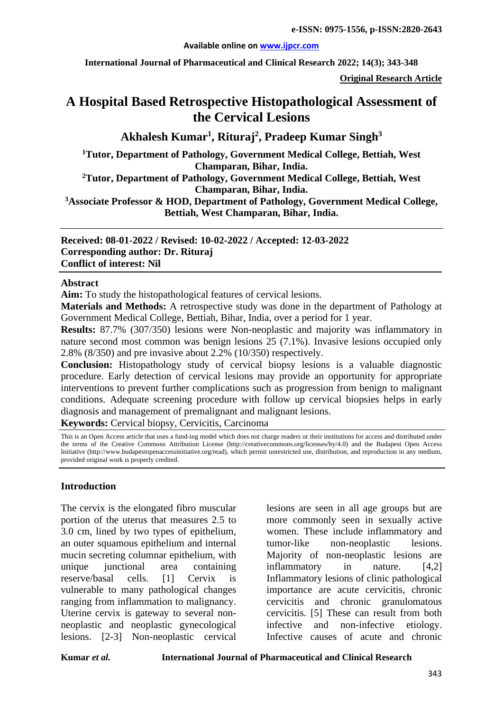#### **Available online on [www.ijpcr.com](http://www.ijpcr.com/)**

**International Journal of Pharmaceutical and Clinical Research 2022; 14(3); 343-348**

**Original Research Article**

# **A Hospital Based Retrospective Histopathological Assessment of the Cervical Lesions**

**Akhalesh Kumar1 , Rituraj<sup>2</sup> , Pradeep Kumar Singh3**

**1Tutor, Department of Pathology, Government Medical College, Bettiah, West Champaran, Bihar, India.**

**2Tutor, Department of Pathology, Government Medical College, Bettiah, West Champaran, Bihar, India.**

**3Associate Professor & HOD, Department of Pathology, Government Medical College, Bettiah, West Champaran, Bihar, India.**

**Received: 08-01-2022 / Revised: 10-02-2022 / Accepted: 12-03-2022 Corresponding author: Dr. Rituraj Conflict of interest: Nil**

#### **Abstract**

**Aim:** To study the histopathological features of cervical lesions.

**Materials and Methods:** A retrospective study was done in the department of Pathology at Government Medical College, Bettiah, Bihar, India, over a period for 1 year.

**Results:** 87.7% (307/350) lesions were Non-neoplastic and majority was inflammatory in nature second most common was benign lesions 25 (7.1%). Invasive lesions occupied only 2.8% (8/350) and pre invasive about 2.2% (10/350) respectively.

**Conclusion:** Histopathology study of cervical biopsy lesions is a valuable diagnostic procedure. Early detection of cervical lesions may provide an opportunity for appropriate interventions to prevent further complications such as progression from benign to malignant conditions. Adequate screening procedure with follow up cervical biopsies helps in early diagnosis and management of premalignant and malignant lesions.

**Keywords:** Cervical biopsy, Cervicitis, Carcinoma

This is an Open Access article that uses a fund-ing model which does not charge readers or their institutions for access and distributed under the terms of the Creative Commons Attribution License (http://creativecommons.org/licenses/by/4.0) and the Budapest Open Access Initiative (http://www.budapestopenaccessinitiative.org/read), which permit unrestricted use, distribution, and reproduction in any medium, provided original work is properly credited.

#### **Introduction**

The cervix is the elongated fibro muscular portion of the uterus that measures 2.5 to 3.0 cm, lined by two types of epithelium, an outer squamous epithelium and internal mucin secreting columnar epithelium, with unique junctional area containing reserve/basal cells. [1] Cervix is vulnerable to many pathological changes ranging from inflammation to malignancy. Uterine cervix is gateway to several nonneoplastic and neoplastic gynecological lesions. [2-3] Non-neoplastic cervical

lesions are seen in all age groups but are more commonly seen in sexually active women. These include inflammatory and tumor-like non-neoplastic lesions. Majority of non-neoplastic lesions are inflammatory in nature. [4,2] Inflammatory lesions of clinic pathological importance are acute cervicitis, chronic cervicitis and chronic granulomatous cervicitis. [5] These can result from both infective and non-infective etiology. Infective causes of acute and chronic

**Kumar** *et al.* **International Journal of Pharmaceutical and Clinical Research**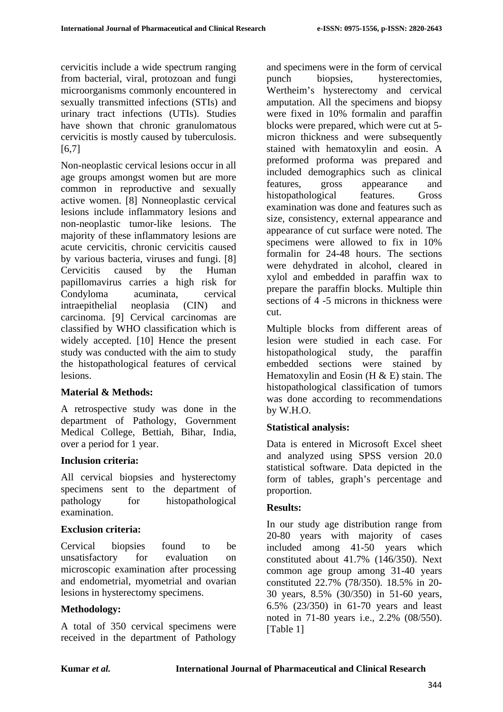cervicitis include a wide spectrum ranging from bacterial, viral, protozoan and fungi microorganisms commonly encountered in sexually transmitted infections (STIs) and urinary tract infections (UTIs). Studies have shown that chronic granulomatous cervicitis is mostly caused by tuberculosis. [6,7]

Non-neoplastic cervical lesions occur in all age groups amongst women but are more common in reproductive and sexually active women. [8] Nonneoplastic cervical lesions include inflammatory lesions and non-neoplastic tumor-like lesions. The majority of these inflammatory lesions are acute cervicitis, chronic cervicitis caused by various bacteria, viruses and fungi. [8] Cervicitis caused by the Human papillomavirus carries a high risk for Condyloma acuminata, cervical intraepithelial neoplasia (CIN) and carcinoma. [9] Cervical carcinomas are classified by WHO classification which is widely accepted. [10] Hence the present study was conducted with the aim to study the histopathological features of cervical lesions.

## **Material & Methods:**

A retrospective study was done in the department of Pathology, Government Medical College, Bettiah, Bihar, India, over a period for 1 year.

## **Inclusion criteria:**

All cervical biopsies and hysterectomy specimens sent to the department of pathology for histopathological examination.

## **Exclusion criteria:**

Cervical biopsies found to be unsatisfactory for evaluation on microscopic examination after processing and endometrial, myometrial and ovarian lesions in hysterectomy specimens.

## **Methodology:**

A total of 350 cervical specimens were received in the department of Pathology and specimens were in the form of cervical punch biopsies, hysterectomies, Wertheim's hysterectomy and cervical amputation. All the specimens and biopsy were fixed in 10% formalin and paraffin blocks were prepared, which were cut at 5 micron thickness and were subsequently stained with hematoxylin and eosin. A preformed proforma was prepared and included demographics such as clinical features, gross appearance and histopathological features. Gross examination was done and features such as size, consistency, external appearance and appearance of cut surface were noted. The specimens were allowed to fix in 10% formalin for 24-48 hours. The sections were dehydrated in alcohol, cleared in xylol and embedded in paraffin wax to prepare the paraffin blocks. Multiple thin sections of 4 -5 microns in thickness were cut.

Multiple blocks from different areas of lesion were studied in each case. For histopathological study, the paraffin embedded sections were stained by Hematoxylin and Eosin  $(H & E)$  stain. The histopathological classification of tumors was done according to recommendations by W.H.O.

# **Statistical analysis:**

Data is entered in Microsoft Excel sheet and analyzed using SPSS version 20.0 statistical software. Data depicted in the form of tables, graph's percentage and proportion.

## **Results:**

In our study age distribution range from 20-80 years with majority of cases included among 41-50 years which constituted about 41.7% (146/350). Next common age group among 31-40 years constituted 22.7% (78/350). 18.5% in 20- 30 years, 8.5% (30/350) in 51-60 years, 6.5% (23/350) in 61-70 years and least noted in 71-80 years i.e., 2.2% (08/550). [Table 1]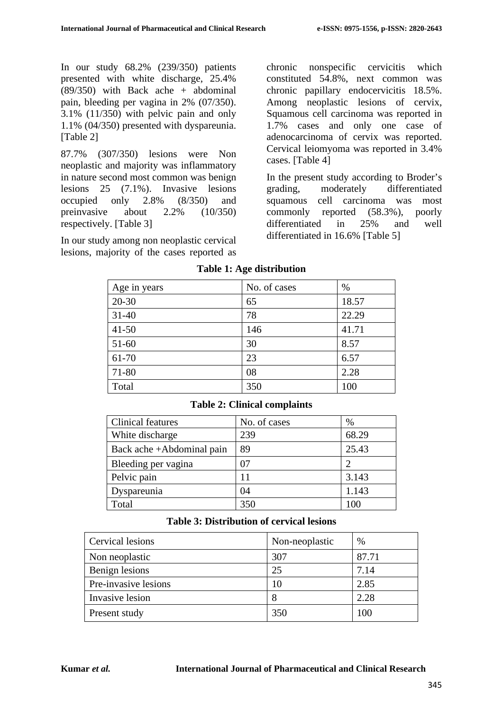In our study 68.2% (239/350) patients presented with white discharge, 25.4%  $(89/350)$  with Back ache + abdominal pain, bleeding per vagina in 2% (07/350). 3.1% (11/350) with pelvic pain and only 1.1% (04/350) presented with dyspareunia. [Table 2]

87.7% (307/350) lesions were Non neoplastic and majority was inflammatory in nature second most common was benign lesions 25 (7.1%). Invasive lesions occupied only 2.8% (8/350) and preinvasive about 2.2% (10/350) respectively. [Table 3]

In our study among non neoplastic cervical lesions, majority of the cases reported as chronic nonspecific cervicitis which constituted 54.8%, next common was chronic papillary endocervicitis 18.5%. Among neoplastic lesions of cervix, Squamous cell carcinoma was reported in 1.7% cases and only one case of adenocarcinoma of cervix was reported. Cervical leiomyoma was reported in 3.4% cases. [Table 4]

In the present study according to Broder's grading, moderately differentiated squamous cell carcinoma was most commonly reported (58.3%), poorly differentiated in 25% and well differentiated in 16.6% [Table 5]

| Age in years | No. of cases | %     |
|--------------|--------------|-------|
| $20 - 30$    | 65           | 18.57 |
| $31 - 40$    | 78           | 22.29 |
| $41 - 50$    | 146          | 41.71 |
| 51-60        | 30           | 8.57  |
| 61-70        | 23           | 6.57  |
| 71-80        | 08           | 2.28  |
| Total        | 350          | 100   |

#### **Table 1: Age distribution**

| Clinical features         | No. of cases | $\%$  |
|---------------------------|--------------|-------|
| White discharge           | 239          | 68.29 |
| Back ache +Abdominal pain | 89           | 25.43 |
| Bleeding per vagina       | 07           | ാ     |
| Pelvic pain               | 11           | 3.143 |
| Dyspareunia               | 04           | 1.143 |
| Total                     | 350          | 10C   |

#### **Table 2: Clinical complaints**

#### **Table 3: Distribution of cervical lesions**

| Cervical lesions     | Non-neoplastic | %     |
|----------------------|----------------|-------|
| Non neoplastic       | 307            | 87.71 |
| Benign lesions       | 25             | 7.14  |
| Pre-invasive lesions | 10             | 2.85  |
| Invasive lesion      | 8              | 2.28  |
| Present study        | 350            | 100   |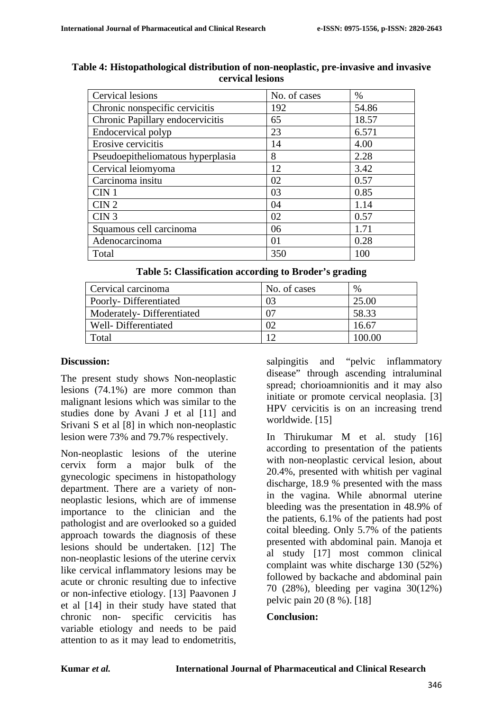| Cervical lesions                  | No. of cases | $\%$  |
|-----------------------------------|--------------|-------|
| Chronic nonspecific cervicitis    | 192          | 54.86 |
| Chronic Papillary endocervicitis  | 65           | 18.57 |
| Endocervical polyp                | 23           | 6.571 |
| Erosive cervicitis                | 14           | 4.00  |
| Pseudoepitheliomatous hyperplasia | 8            | 2.28  |
| Cervical leiomyoma                | 12           | 3.42  |
| Carcinoma insitu                  | 02           | 0.57  |
| CIN <sub>1</sub>                  | 03           | 0.85  |
| CIN <sub>2</sub>                  | 04           | 1.14  |
| CIN <sub>3</sub>                  | 02           | 0.57  |
| Squamous cell carcinoma           | 06           | 1.71  |
| Adenocarcinoma                    | 01           | 0.28  |
| Total                             | 350          | 100   |

#### **Table 4: Histopathological distribution of non-neoplastic, pre-invasive and invasive cervical lesions**

## **Table 5: Classification according to Broder's grading**

| Cervical carcinoma        | No. of cases | %      |
|---------------------------|--------------|--------|
| Poorly-Differentiated     | 03           | 25.00  |
| Moderately-Differentiated |              | 58.33  |
| Well-Differentiated       |              | 16.67  |
| Total                     |              | LOO OO |

## **Discussion:**

The present study shows Non-neoplastic lesions (74.1%) are more common than malignant lesions which was similar to the studies done by Avani J et al [11] and Srivani S et al [8] in which non-neoplastic lesion were 73% and 79.7% respectively.

Non-neoplastic lesions of the uterine cervix form a major bulk of the gynecologic specimens in histopathology department. There are a variety of nonneoplastic lesions, which are of immense importance to the clinician and the pathologist and are overlooked so a guided approach towards the diagnosis of these lesions should be undertaken. [12] The non-neoplastic lesions of the uterine cervix like cervical inflammatory lesions may be acute or chronic resulting due to infective or non-infective etiology. [13] Paavonen J et al [14] in their study have stated that chronic non- specific cervicitis has variable etiology and needs to be paid attention to as it may lead to endometritis,

salpingitis and "pelvic inflammatory disease" through ascending intraluminal spread; chorioamnionitis and it may also initiate or promote cervical neoplasia. [3] HPV cervicitis is on an increasing trend worldwide. [15]

In Thirukumar M et al. study [16] according to presentation of the patients with non-neoplastic cervical lesion, about 20.4%, presented with whitish per vaginal discharge, 18.9 % presented with the mass in the vagina. While abnormal uterine bleeding was the presentation in 48.9% of the patients, 6.1% of the patients had post coital bleeding. Only 5.7% of the patients presented with abdominal pain. Manoja et al study [17] most common clinical complaint was white discharge 130 (52%) followed by backache and abdominal pain 70 (28%), bleeding per vagina 30(12%) pelvic pain 20 (8 %). [18]

## **Conclusion:**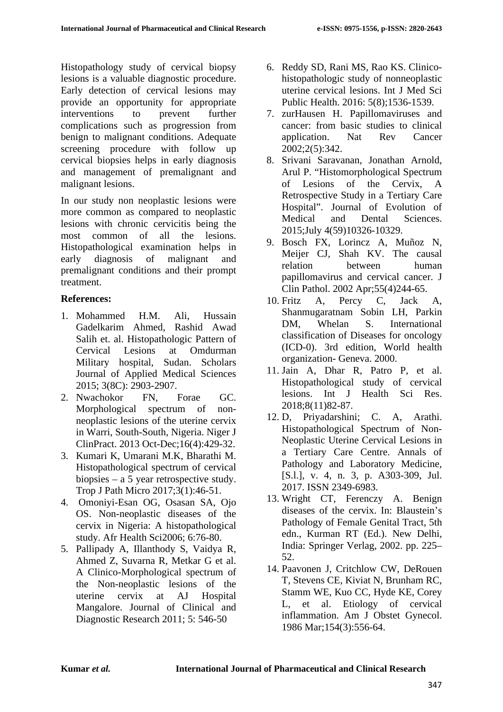Histopathology study of cervical biopsy lesions is a valuable diagnostic procedure. Early detection of cervical lesions may provide an opportunity for appropriate interventions to prevent further complications such as progression from benign to malignant conditions. Adequate screening procedure with follow up cervical biopsies helps in early diagnosis and management of premalignant and malignant lesions.

In our study non neoplastic lesions were more common as compared to neoplastic lesions with chronic cervicitis being the most common of all the lesions. Histopathological examination helps in early diagnosis of malignant and premalignant conditions and their prompt treatment.

## **References:**

- 1. Mohammed H.M. Ali, Hussain Gadelkarim Ahmed, Rashid Awad Salih et. al. Histopathologic Pattern of Cervical Lesions at Omdurman Military hospital, Sudan. Scholars Journal of Applied Medical Sciences 2015; 3(8C): 2903-2907.
- 2. Nwachokor FN, Forae GC. Morphological spectrum of nonneoplastic lesions of the uterine cervix in Warri, South-South, Nigeria. Niger J ClinPract. 2013 Oct-Dec;16(4):429-32.
- 3. Kumari K, Umarani M.K, Bharathi M. Histopathological spectrum of cervical biopsies – a 5 year retrospective study. Trop J Path Micro 2017;3(1):46-51.
- 4. Omoniyi-Esan OG, Osasan SA, Ojo OS. Non-neoplastic diseases of the cervix in Nigeria: A histopathological study. Afr Health Sci2006; 6:76-80.
- 5. Pallipady A, Illanthody S, Vaidya R, Ahmed Z, Suvarna R, Metkar G et al. A Clinico-Morphological spectrum of the Non-neoplastic lesions of the uterine cervix at AJ Hospital Mangalore. Journal of Clinical and Diagnostic Research 2011; 5: 546-50
- 6. Reddy SD, Rani MS, Rao KS. Clinicohistopathologic study of nonneoplastic uterine cervical lesions. Int J Med Sci Public Health. 2016: 5(8);1536-1539.
- 7. zurHausen H. Papillomaviruses and cancer: from basic studies to clinical application. Nat Rev Cancer 2002;2(5):342.
- 8. Srivani Saravanan, Jonathan Arnold, Arul P. "Histomorphological Spectrum of Lesions of the Cervix, A Retrospective Study in a Tertiary Care Hospital". Journal of Evolution of Medical and Dental Sciences. 2015;July 4(59)10326-10329.
- 9. Bosch FX, Lorincz A, Muñoz N, Meijer CJ, Shah KV. The causal relation between human papillomavirus and cervical cancer. J Clin Pathol. 2002 Apr;55(4)244-65.
- 10. Fritz A, Percy C, Jack A, Shanmugaratnam Sobin LH, Parkin DM, Whelan S. International classification of Diseases for oncology (ICD-0). 3rd edition, World health organization- Geneva. 2000.
- 11. Jain A, Dhar R, Patro P, et al. Histopathological study of cervical lesions. Int J Health Sci Res. 2018;8(11)82-87.
- 12. D, Priyadarshini; C. A, Arathi. Histopathological Spectrum of Non-Neoplastic Uterine Cervical Lesions in a Tertiary Care Centre. Annals of Pathology and Laboratory Medicine, [S.l.], v. 4, n. 3, p. A303-309, Jul. 2017. ISSN 2349-6983.
- 13. Wright CT, Ferenczy A. Benign diseases of the cervix. In: Blaustein's Pathology of Female Genital Tract, 5th edn., Kurman RT (Ed.). New Delhi, India: Springer Verlag, 2002. pp. 225– 52.
- 14. Paavonen J, Critchlow CW, DeRouen T, Stevens CE, Kiviat N, Brunham RC, Stamm WE, Kuo CC, Hyde KE, Corey L, et al. Etiology of cervical inflammation. Am J Obstet Gynecol. 1986 Mar;154(3):556-64.